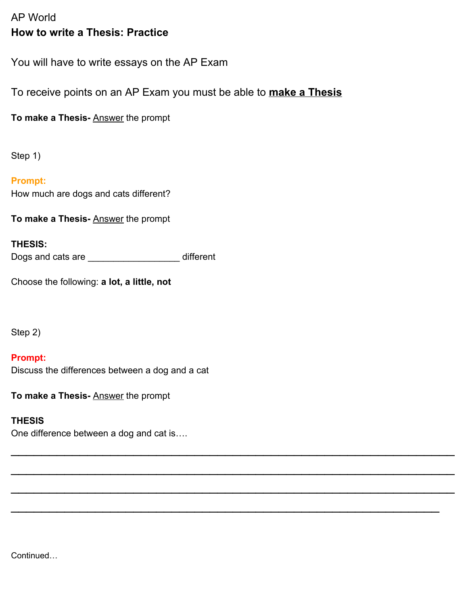# AP World **How to write a Thesis: Practice**

You will have to write essays on the AP Exam

To receive points on an AP Exam you must be able to **make a Thesis**

 $\mathcal{L}_\text{max}$  and  $\mathcal{L}_\text{max}$  and  $\mathcal{L}_\text{max}$  and  $\mathcal{L}_\text{max}$  and  $\mathcal{L}_\text{max}$  and  $\mathcal{L}_\text{max}$ 

 $\mathcal{L}_\text{max}$  and  $\mathcal{L}_\text{max}$  and  $\mathcal{L}_\text{max}$  and  $\mathcal{L}_\text{max}$  and  $\mathcal{L}_\text{max}$  and  $\mathcal{L}_\text{max}$ 

 $\mathcal{L}_\text{max}$  and  $\mathcal{L}_\text{max}$  and  $\mathcal{L}_\text{max}$  and  $\mathcal{L}_\text{max}$  and  $\mathcal{L}_\text{max}$  and  $\mathcal{L}_\text{max}$ 

 $\mathcal{L}_\text{max}$  and  $\mathcal{L}_\text{max}$  and  $\mathcal{L}_\text{max}$  and  $\mathcal{L}_\text{max}$  and  $\mathcal{L}_\text{max}$  and  $\mathcal{L}_\text{max}$ 

**To make a Thesis-** Answer the prompt

Step 1)

**Prompt:** How much are dogs and cats different?

**To make a Thesis-** Answer the prompt

### **THESIS:**

Dogs and cats are \_\_\_\_\_\_\_\_\_\_\_\_\_\_\_\_\_\_ different

Choose the following: **a lot, a little, not**

Step 2)

### **Prompt:**

Discuss the differences between a dog and a cat

**To make a Thesis-** Answer the prompt

## **THESIS**

One difference between a dog and cat is….

Continued…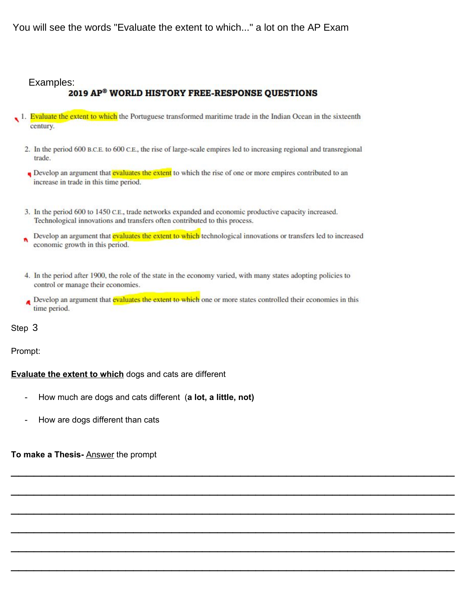You will see the words "Evaluate the extent to which..." a lot on the AP Exam

### Examples:

### **2019 AP® WORLD HISTORY FREE-RESPONSE QUESTIONS**

- 1. Evaluate the extent to which the Portuguese transformed maritime trade in the Indian Ocean in the sixteenth century.
	- 2. In the period 600 B.C.E. to 600 C.E., the rise of large-scale empires led to increasing regional and transregional trade.
	- Develop an argument that evaluates the extent to which the rise of one or more empires contributed to an increase in trade in this time period.
	- 3. In the period 600 to 1450 C.E., trade networks expanded and economic productive capacity increased. Technological innovations and transfers often contributed to this process.
	- Develop an argument that evaluates the extent to which technological innovations or transfers led to increased economic growth in this period.
	- 4. In the period after 1900, the role of the state in the economy varied, with many states adopting policies to control or manage their economies.
	- Develop an argument that evaluates the extent to which one or more states controlled their economies in this time period.

 $\mathcal{L}_\text{max}$  and  $\mathcal{L}_\text{max}$  and  $\mathcal{L}_\text{max}$  and  $\mathcal{L}_\text{max}$  and  $\mathcal{L}_\text{max}$  and  $\mathcal{L}_\text{max}$ 

 $\mathcal{L}_\text{max}$  and  $\mathcal{L}_\text{max}$  and  $\mathcal{L}_\text{max}$  and  $\mathcal{L}_\text{max}$  and  $\mathcal{L}_\text{max}$  and  $\mathcal{L}_\text{max}$ 

 $\mathcal{L}_\text{max}$  and  $\mathcal{L}_\text{max}$  and  $\mathcal{L}_\text{max}$  and  $\mathcal{L}_\text{max}$  and  $\mathcal{L}_\text{max}$  and  $\mathcal{L}_\text{max}$ 

 $\mathcal{L}_\text{max}$  and  $\mathcal{L}_\text{max}$  and  $\mathcal{L}_\text{max}$  and  $\mathcal{L}_\text{max}$  and  $\mathcal{L}_\text{max}$  and  $\mathcal{L}_\text{max}$ 

 $\mathcal{L}_\text{max}$  and  $\mathcal{L}_\text{max}$  and  $\mathcal{L}_\text{max}$  and  $\mathcal{L}_\text{max}$  and  $\mathcal{L}_\text{max}$  and  $\mathcal{L}_\text{max}$ 

 $\mathcal{L}_\text{max}$  and  $\mathcal{L}_\text{max}$  and  $\mathcal{L}_\text{max}$  and  $\mathcal{L}_\text{max}$  and  $\mathcal{L}_\text{max}$  and  $\mathcal{L}_\text{max}$ 

# Step 3

#### Prompt:

#### **Evaluate the extent to which** dogs and cats are different

- How much are dogs and cats different (**a lot, a little, not)**
- How are dogs different than cats

#### **To make a Thesis-** Answer the prompt